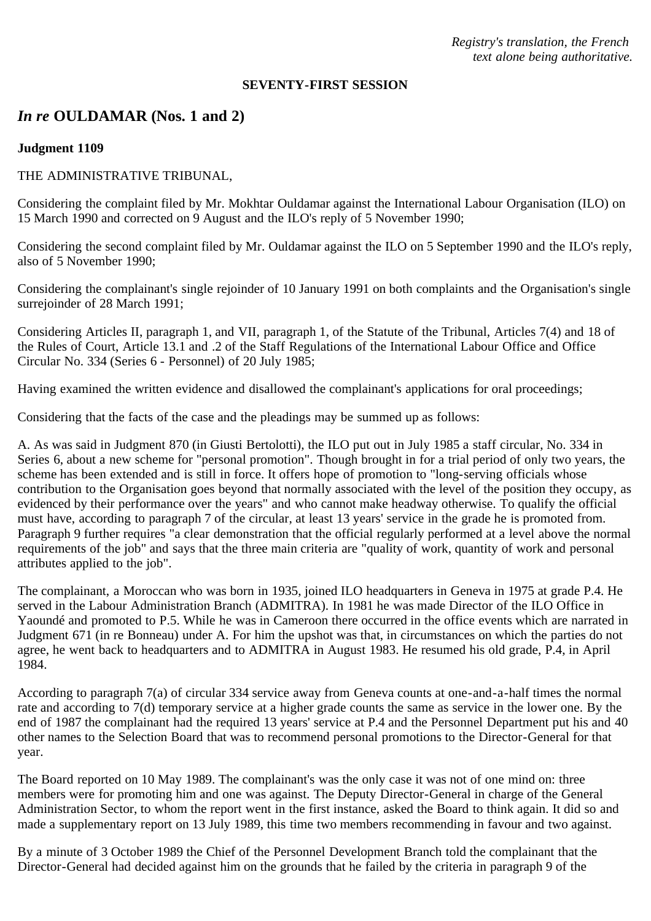*Registry's translation, the French text alone being authoritative.*

#### **SEVENTY-FIRST SESSION**

# *In re* **OULDAMAR (Nos. 1 and 2)**

#### **Judgment 1109**

#### THE ADMINISTRATIVE TRIBUNAL,

Considering the complaint filed by Mr. Mokhtar Ouldamar against the International Labour Organisation (ILO) on 15 March 1990 and corrected on 9 August and the ILO's reply of 5 November 1990;

Considering the second complaint filed by Mr. Ouldamar against the ILO on 5 September 1990 and the ILO's reply, also of 5 November 1990;

Considering the complainant's single rejoinder of 10 January 1991 on both complaints and the Organisation's single surrejoinder of 28 March 1991;

Considering Articles II, paragraph 1, and VII, paragraph 1, of the Statute of the Tribunal, Articles 7(4) and 18 of the Rules of Court, Article 13.1 and .2 of the Staff Regulations of the International Labour Office and Office Circular No. 334 (Series 6 - Personnel) of 20 July 1985;

Having examined the written evidence and disallowed the complainant's applications for oral proceedings;

Considering that the facts of the case and the pleadings may be summed up as follows:

A. As was said in Judgment 870 (in Giusti Bertolotti), the ILO put out in July 1985 a staff circular, No. 334 in Series 6, about a new scheme for "personal promotion". Though brought in for a trial period of only two years, the scheme has been extended and is still in force. It offers hope of promotion to "long-serving officials whose contribution to the Organisation goes beyond that normally associated with the level of the position they occupy, as evidenced by their performance over the years" and who cannot make headway otherwise. To qualify the official must have, according to paragraph 7 of the circular, at least 13 years' service in the grade he is promoted from. Paragraph 9 further requires "a clear demonstration that the official regularly performed at a level above the normal requirements of the job" and says that the three main criteria are "quality of work, quantity of work and personal attributes applied to the job".

The complainant, a Moroccan who was born in 1935, joined ILO headquarters in Geneva in 1975 at grade P.4. He served in the Labour Administration Branch (ADMITRA). In 1981 he was made Director of the ILO Office in Yaoundé and promoted to P.5. While he was in Cameroon there occurred in the office events which are narrated in Judgment 671 (in re Bonneau) under A. For him the upshot was that, in circumstances on which the parties do not agree, he went back to headquarters and to ADMITRA in August 1983. He resumed his old grade, P.4, in April 1984.

According to paragraph 7(a) of circular 334 service away from Geneva counts at one-and-a-half times the normal rate and according to 7(d) temporary service at a higher grade counts the same as service in the lower one. By the end of 1987 the complainant had the required 13 years' service at P.4 and the Personnel Department put his and 40 other names to the Selection Board that was to recommend personal promotions to the Director-General for that year.

The Board reported on 10 May 1989. The complainant's was the only case it was not of one mind on: three members were for promoting him and one was against. The Deputy Director-General in charge of the General Administration Sector, to whom the report went in the first instance, asked the Board to think again. It did so and made a supplementary report on 13 July 1989, this time two members recommending in favour and two against.

By a minute of 3 October 1989 the Chief of the Personnel Development Branch told the complainant that the Director-General had decided against him on the grounds that he failed by the criteria in paragraph 9 of the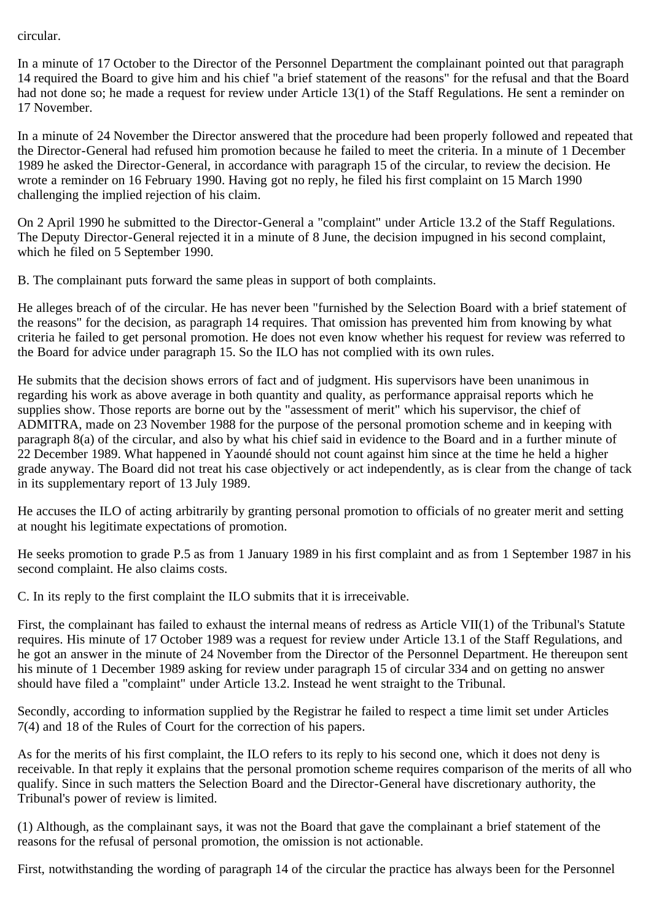## circular.

In a minute of 17 October to the Director of the Personnel Department the complainant pointed out that paragraph 14 required the Board to give him and his chief "a brief statement of the reasons" for the refusal and that the Board had not done so; he made a request for review under Article 13(1) of the Staff Regulations. He sent a reminder on 17 November.

In a minute of 24 November the Director answered that the procedure had been properly followed and repeated that the Director-General had refused him promotion because he failed to meet the criteria. In a minute of 1 December 1989 he asked the Director-General, in accordance with paragraph 15 of the circular, to review the decision. He wrote a reminder on 16 February 1990. Having got no reply, he filed his first complaint on 15 March 1990 challenging the implied rejection of his claim.

On 2 April 1990 he submitted to the Director-General a "complaint" under Article 13.2 of the Staff Regulations. The Deputy Director-General rejected it in a minute of 8 June, the decision impugned in his second complaint, which he filed on 5 September 1990.

B. The complainant puts forward the same pleas in support of both complaints.

He alleges breach of of the circular. He has never been "furnished by the Selection Board with a brief statement of the reasons" for the decision, as paragraph 14 requires. That omission has prevented him from knowing by what criteria he failed to get personal promotion. He does not even know whether his request for review was referred to the Board for advice under paragraph 15. So the ILO has not complied with its own rules.

He submits that the decision shows errors of fact and of judgment. His supervisors have been unanimous in regarding his work as above average in both quantity and quality, as performance appraisal reports which he supplies show. Those reports are borne out by the "assessment of merit" which his supervisor, the chief of ADMITRA, made on 23 November 1988 for the purpose of the personal promotion scheme and in keeping with paragraph 8(a) of the circular, and also by what his chief said in evidence to the Board and in a further minute of 22 December 1989. What happened in Yaoundé should not count against him since at the time he held a higher grade anyway. The Board did not treat his case objectively or act independently, as is clear from the change of tack in its supplementary report of 13 July 1989.

He accuses the ILO of acting arbitrarily by granting personal promotion to officials of no greater merit and setting at nought his legitimate expectations of promotion.

He seeks promotion to grade P.5 as from 1 January 1989 in his first complaint and as from 1 September 1987 in his second complaint. He also claims costs.

C. In its reply to the first complaint the ILO submits that it is irreceivable.

First, the complainant has failed to exhaust the internal means of redress as Article VII(1) of the Tribunal's Statute requires. His minute of 17 October 1989 was a request for review under Article 13.1 of the Staff Regulations, and he got an answer in the minute of 24 November from the Director of the Personnel Department. He thereupon sent his minute of 1 December 1989 asking for review under paragraph 15 of circular 334 and on getting no answer should have filed a "complaint" under Article 13.2. Instead he went straight to the Tribunal.

Secondly, according to information supplied by the Registrar he failed to respect a time limit set under Articles 7(4) and 18 of the Rules of Court for the correction of his papers.

As for the merits of his first complaint, the ILO refers to its reply to his second one, which it does not deny is receivable. In that reply it explains that the personal promotion scheme requires comparison of the merits of all who qualify. Since in such matters the Selection Board and the Director-General have discretionary authority, the Tribunal's power of review is limited.

(1) Although, as the complainant says, it was not the Board that gave the complainant a brief statement of the reasons for the refusal of personal promotion, the omission is not actionable.

First, notwithstanding the wording of paragraph 14 of the circular the practice has always been for the Personnel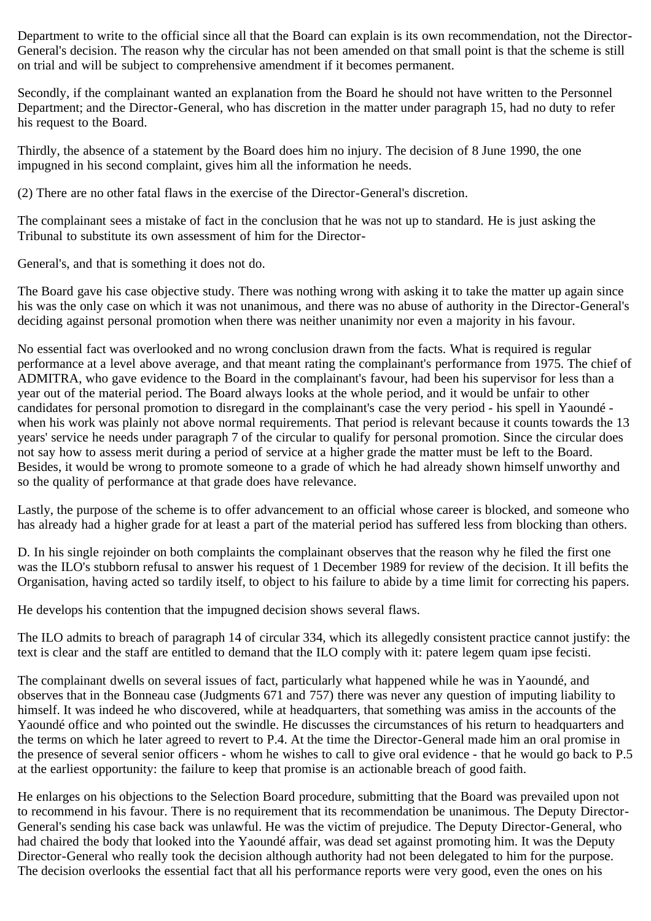Department to write to the official since all that the Board can explain is its own recommendation, not the Director-General's decision. The reason why the circular has not been amended on that small point is that the scheme is still on trial and will be subject to comprehensive amendment if it becomes permanent.

Secondly, if the complainant wanted an explanation from the Board he should not have written to the Personnel Department; and the Director-General, who has discretion in the matter under paragraph 15, had no duty to refer his request to the Board.

Thirdly, the absence of a statement by the Board does him no injury. The decision of 8 June 1990, the one impugned in his second complaint, gives him all the information he needs.

(2) There are no other fatal flaws in the exercise of the Director-General's discretion.

The complainant sees a mistake of fact in the conclusion that he was not up to standard. He is just asking the Tribunal to substitute its own assessment of him for the Director-

General's, and that is something it does not do.

The Board gave his case objective study. There was nothing wrong with asking it to take the matter up again since his was the only case on which it was not unanimous, and there was no abuse of authority in the Director-General's deciding against personal promotion when there was neither unanimity nor even a majority in his favour.

No essential fact was overlooked and no wrong conclusion drawn from the facts. What is required is regular performance at a level above average, and that meant rating the complainant's performance from 1975. The chief of ADMITRA, who gave evidence to the Board in the complainant's favour, had been his supervisor for less than a year out of the material period. The Board always looks at the whole period, and it would be unfair to other candidates for personal promotion to disregard in the complainant's case the very period - his spell in Yaoundé when his work was plainly not above normal requirements. That period is relevant because it counts towards the 13 years' service he needs under paragraph 7 of the circular to qualify for personal promotion. Since the circular does not say how to assess merit during a period of service at a higher grade the matter must be left to the Board. Besides, it would be wrong to promote someone to a grade of which he had already shown himself unworthy and so the quality of performance at that grade does have relevance.

Lastly, the purpose of the scheme is to offer advancement to an official whose career is blocked, and someone who has already had a higher grade for at least a part of the material period has suffered less from blocking than others.

D. In his single rejoinder on both complaints the complainant observes that the reason why he filed the first one was the ILO's stubborn refusal to answer his request of 1 December 1989 for review of the decision. It ill befits the Organisation, having acted so tardily itself, to object to his failure to abide by a time limit for correcting his papers.

He develops his contention that the impugned decision shows several flaws.

The ILO admits to breach of paragraph 14 of circular 334, which its allegedly consistent practice cannot justify: the text is clear and the staff are entitled to demand that the ILO comply with it: patere legem quam ipse fecisti.

The complainant dwells on several issues of fact, particularly what happened while he was in Yaoundé, and observes that in the Bonneau case (Judgments 671 and 757) there was never any question of imputing liability to himself. It was indeed he who discovered, while at headquarters, that something was amiss in the accounts of the Yaoundé office and who pointed out the swindle. He discusses the circumstances of his return to headquarters and the terms on which he later agreed to revert to P.4. At the time the Director-General made him an oral promise in the presence of several senior officers - whom he wishes to call to give oral evidence - that he would go back to P.5 at the earliest opportunity: the failure to keep that promise is an actionable breach of good faith.

He enlarges on his objections to the Selection Board procedure, submitting that the Board was prevailed upon not to recommend in his favour. There is no requirement that its recommendation be unanimous. The Deputy Director-General's sending his case back was unlawful. He was the victim of prejudice. The Deputy Director-General, who had chaired the body that looked into the Yaoundé affair, was dead set against promoting him. It was the Deputy Director-General who really took the decision although authority had not been delegated to him for the purpose. The decision overlooks the essential fact that all his performance reports were very good, even the ones on his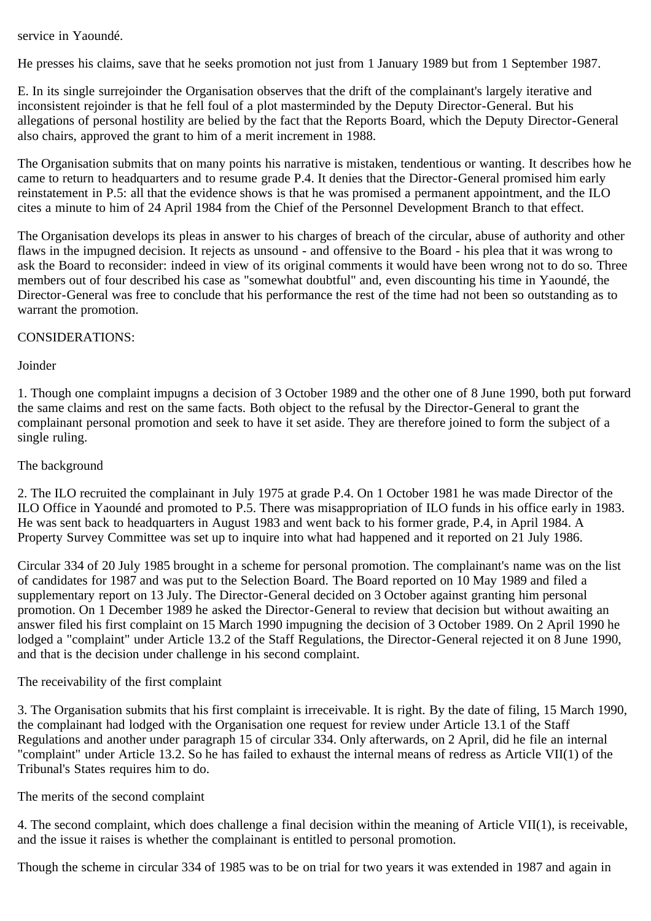service in Yaoundé.

He presses his claims, save that he seeks promotion not just from 1 January 1989 but from 1 September 1987.

E. In its single surrejoinder the Organisation observes that the drift of the complainant's largely iterative and inconsistent rejoinder is that he fell foul of a plot masterminded by the Deputy Director-General. But his allegations of personal hostility are belied by the fact that the Reports Board, which the Deputy Director-General also chairs, approved the grant to him of a merit increment in 1988.

The Organisation submits that on many points his narrative is mistaken, tendentious or wanting. It describes how he came to return to headquarters and to resume grade P.4. It denies that the Director-General promised him early reinstatement in P.5: all that the evidence shows is that he was promised a permanent appointment, and the ILO cites a minute to him of 24 April 1984 from the Chief of the Personnel Development Branch to that effect.

The Organisation develops its pleas in answer to his charges of breach of the circular, abuse of authority and other flaws in the impugned decision. It rejects as unsound - and offensive to the Board - his plea that it was wrong to ask the Board to reconsider: indeed in view of its original comments it would have been wrong not to do so. Three members out of four described his case as "somewhat doubtful" and, even discounting his time in Yaoundé, the Director-General was free to conclude that his performance the rest of the time had not been so outstanding as to warrant the promotion.

## CONSIDERATIONS:

Joinder

1. Though one complaint impugns a decision of 3 October 1989 and the other one of 8 June 1990, both put forward the same claims and rest on the same facts. Both object to the refusal by the Director-General to grant the complainant personal promotion and seek to have it set aside. They are therefore joined to form the subject of a single ruling.

# The background

2. The ILO recruited the complainant in July 1975 at grade P.4. On 1 October 1981 he was made Director of the ILO Office in Yaoundé and promoted to P.5. There was misappropriation of ILO funds in his office early in 1983. He was sent back to headquarters in August 1983 and went back to his former grade, P.4, in April 1984. A Property Survey Committee was set up to inquire into what had happened and it reported on 21 July 1986.

Circular 334 of 20 July 1985 brought in a scheme for personal promotion. The complainant's name was on the list of candidates for 1987 and was put to the Selection Board. The Board reported on 10 May 1989 and filed a supplementary report on 13 July. The Director-General decided on 3 October against granting him personal promotion. On 1 December 1989 he asked the Director-General to review that decision but without awaiting an answer filed his first complaint on 15 March 1990 impugning the decision of 3 October 1989. On 2 April 1990 he lodged a "complaint" under Article 13.2 of the Staff Regulations, the Director-General rejected it on 8 June 1990, and that is the decision under challenge in his second complaint.

#### The receivability of the first complaint

3. The Organisation submits that his first complaint is irreceivable. It is right. By the date of filing, 15 March 1990, the complainant had lodged with the Organisation one request for review under Article 13.1 of the Staff Regulations and another under paragraph 15 of circular 334. Only afterwards, on 2 April, did he file an internal "complaint" under Article 13.2. So he has failed to exhaust the internal means of redress as Article VII(1) of the Tribunal's States requires him to do.

The merits of the second complaint

4. The second complaint, which does challenge a final decision within the meaning of Article VII(1), is receivable, and the issue it raises is whether the complainant is entitled to personal promotion.

Though the scheme in circular 334 of 1985 was to be on trial for two years it was extended in 1987 and again in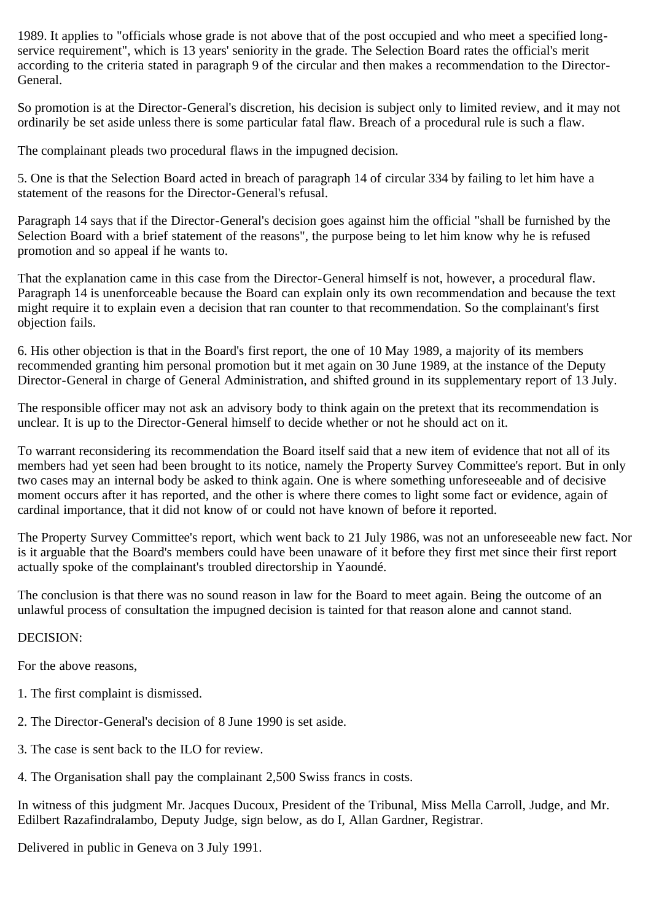1989. It applies to "officials whose grade is not above that of the post occupied and who meet a specified longservice requirement", which is 13 years' seniority in the grade. The Selection Board rates the official's merit according to the criteria stated in paragraph 9 of the circular and then makes a recommendation to the Director-General.

So promotion is at the Director-General's discretion, his decision is subject only to limited review, and it may not ordinarily be set aside unless there is some particular fatal flaw. Breach of a procedural rule is such a flaw.

The complainant pleads two procedural flaws in the impugned decision.

5. One is that the Selection Board acted in breach of paragraph 14 of circular 334 by failing to let him have a statement of the reasons for the Director-General's refusal.

Paragraph 14 says that if the Director-General's decision goes against him the official "shall be furnished by the Selection Board with a brief statement of the reasons", the purpose being to let him know why he is refused promotion and so appeal if he wants to.

That the explanation came in this case from the Director-General himself is not, however, a procedural flaw. Paragraph 14 is unenforceable because the Board can explain only its own recommendation and because the text might require it to explain even a decision that ran counter to that recommendation. So the complainant's first objection fails.

6. His other objection is that in the Board's first report, the one of 10 May 1989, a majority of its members recommended granting him personal promotion but it met again on 30 June 1989, at the instance of the Deputy Director-General in charge of General Administration, and shifted ground in its supplementary report of 13 July.

The responsible officer may not ask an advisory body to think again on the pretext that its recommendation is unclear. It is up to the Director-General himself to decide whether or not he should act on it.

To warrant reconsidering its recommendation the Board itself said that a new item of evidence that not all of its members had yet seen had been brought to its notice, namely the Property Survey Committee's report. But in only two cases may an internal body be asked to think again. One is where something unforeseeable and of decisive moment occurs after it has reported, and the other is where there comes to light some fact or evidence, again of cardinal importance, that it did not know of or could not have known of before it reported.

The Property Survey Committee's report, which went back to 21 July 1986, was not an unforeseeable new fact. Nor is it arguable that the Board's members could have been unaware of it before they first met since their first report actually spoke of the complainant's troubled directorship in Yaoundé.

The conclusion is that there was no sound reason in law for the Board to meet again. Being the outcome of an unlawful process of consultation the impugned decision is tainted for that reason alone and cannot stand.

# DECISION:

For the above reasons,

- 1. The first complaint is dismissed.
- 2. The Director-General's decision of 8 June 1990 is set aside.
- 3. The case is sent back to the ILO for review.
- 4. The Organisation shall pay the complainant 2,500 Swiss francs in costs.

In witness of this judgment Mr. Jacques Ducoux, President of the Tribunal, Miss Mella Carroll, Judge, and Mr. Edilbert Razafindralambo, Deputy Judge, sign below, as do I, Allan Gardner, Registrar.

Delivered in public in Geneva on 3 July 1991.